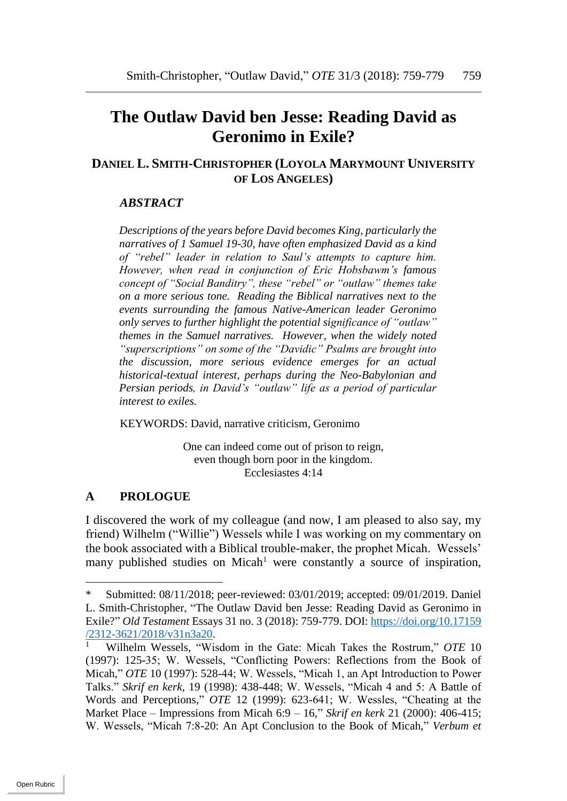# **The Outlaw David ben Jesse: Reading David as Geronimo in Exile?**

# **DANIEL L. SMITH-CHRISTOPHER (LOYOLA MARYMOUNT UNIVERSITY OF LOS ANGELES)**

## *ABSTRACT*

*Descriptions of the years before David becomes King, particularly the narratives of 1 Samuel 19-30, have often emphasized David as a kind of "rebel" leader in relation to Saul's attempts to capture him. However, when read in conjunction of Eric Hobsbawm's famous concept of "Social Banditry", these "rebel" or "outlaw" themes take on a more serious tone. Reading the Biblical narratives next to the events surrounding the famous Native-American leader Geronimo only serves to further highlight the potential significance of "outlaw" themes in the Samuel narratives. However, when the widely noted "superscriptions" on some of the "Davidic" Psalms are brought into the discussion, more serious evidence emerges for an actual historical-textual interest, perhaps during the Neo-Babylonian and Persian periods, in David's "outlaw" life as a period of particular interest to exiles.* 

KEYWORDS: David, narrative criticism, Geronimo

One can indeed come out of prison to reign, even though born poor in the kingdom. Ecclesiastes 4:14

## **A PROLOGUE**

l

I discovered the work of my colleague (and now, I am pleased to also say, my friend) Wilhelm ("Willie") Wessels while I was working on my commentary on the book associated with a Biblical trouble-maker, the prophet Micah. Wessels' many published studies on Micah<sup>1</sup> were constantly a source of inspiration,

Submitted: 08/11/2018; peer-reviewed: 03/01/2019; accepted: 09/01/2019. Daniel L. Smith-Christopher, "The Outlaw David ben Jesse: Reading David as Geronimo in Exile?" *Old Testament* Essays 31 no. 3 (2018): 759-779. DOI: [https://doi.org/10.17159](https://doi.org/10.17159%20/2312-3621/2018/v31n3a20)   $\frac{2312-3621/2018/v31n3a20}{Wilbalm Wqqqslg}$ 

<sup>1</sup> Wilhelm Wessels, "Wisdom in the Gate: Micah Takes the Rostrum," *OTE* 10 (1997): 125-35; W. Wessels, "Conflicting Powers: Reflections from the Book of Micah," *OTE* 10 (1997): 528-44; W. Wessels, "Micah 1, an Apt Introduction to Power Talks." *Skrif en kerk*, 19 (1998): 438-448; W. Wessels, "Micah 4 and 5: A Battle of Words and Perceptions," *OTE* 12 (1999): 623-641; W. Wessles, "Cheating at the Market Place – Impressions from Micah 6:9 – 16," *Skrif en kerk* 21 (2000): 406-415; W. Wessels, "Micah 7:8-20: An Apt Conclusion to the Book of Micah," *Verbum et*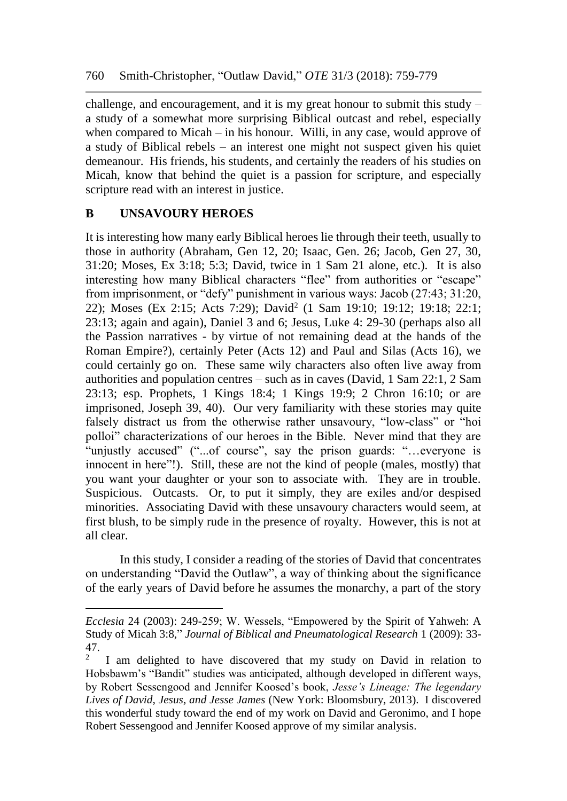challenge, and encouragement, and it is my great honour to submit this study – a study of a somewhat more surprising Biblical outcast and rebel, especially when compared to Micah – in his honour. Willi, in any case, would approve of a study of Biblical rebels – an interest one might not suspect given his quiet demeanour. His friends, his students, and certainly the readers of his studies on Micah, know that behind the quiet is a passion for scripture, and especially scripture read with an interest in justice.

# **B UNSAVOURY HEROES**

 $\overline{a}$ 

It is interesting how many early Biblical heroes lie through their teeth, usually to those in authority (Abraham, Gen 12, 20; Isaac, Gen. 26; Jacob, Gen 27, 30, 31:20; Moses, Ex 3:18; 5:3; David, twice in 1 Sam 21 alone, etc.). It is also interesting how many Biblical characters "flee" from authorities or "escape" from imprisonment, or "defy" punishment in various ways: Jacob (27:43; 31:20, 22); Moses (Ex 2:15; Acts 7:29); David<sup>2</sup> (1 Sam 19:10; 19:12; 19:18; 22:1; 23:13; again and again), Daniel 3 and 6; Jesus, Luke 4: 29-30 (perhaps also all the Passion narratives - by virtue of not remaining dead at the hands of the Roman Empire?), certainly Peter (Acts 12) and Paul and Silas (Acts 16), we could certainly go on. These same wily characters also often live away from authorities and population centres – such as in caves (David, 1 Sam 22:1, 2 Sam 23:13; esp. Prophets, 1 Kings 18:4; 1 Kings 19:9; 2 Chron 16:10; or are imprisoned, Joseph 39, 40). Our very familiarity with these stories may quite falsely distract us from the otherwise rather unsavoury, "low-class" or "hoi polloi" characterizations of our heroes in the Bible. Never mind that they are "unjustly accused" ("...of course", say the prison guards: "…everyone is innocent in here"!). Still, these are not the kind of people (males, mostly) that you want your daughter or your son to associate with. They are in trouble. Suspicious. Outcasts. Or, to put it simply, they are exiles and/or despised minorities. Associating David with these unsavoury characters would seem, at first blush, to be simply rude in the presence of royalty. However, this is not at all clear.

In this study, I consider a reading of the stories of David that concentrates on understanding "David the Outlaw", a way of thinking about the significance of the early years of David before he assumes the monarchy, a part of the story

*Ecclesia* 24 (2003): 249-259; W. Wessels, "Empowered by the Spirit of Yahweh: A Study of Micah 3:8," *Journal of Biblical and Pneumatological Research* 1 (2009): 33- 47.

<sup>2</sup> I am delighted to have discovered that my study on David in relation to Hobsbawm's "Bandit" studies was anticipated, although developed in different ways, by Robert Sessengood and Jennifer Koosed's book, *Jesse's Lineage: The legendary Lives of David, Jesus, and Jesse James* (New York: Bloomsbury, 2013). I discovered this wonderful study toward the end of my work on David and Geronimo, and I hope Robert Sessengood and Jennifer Koosed approve of my similar analysis.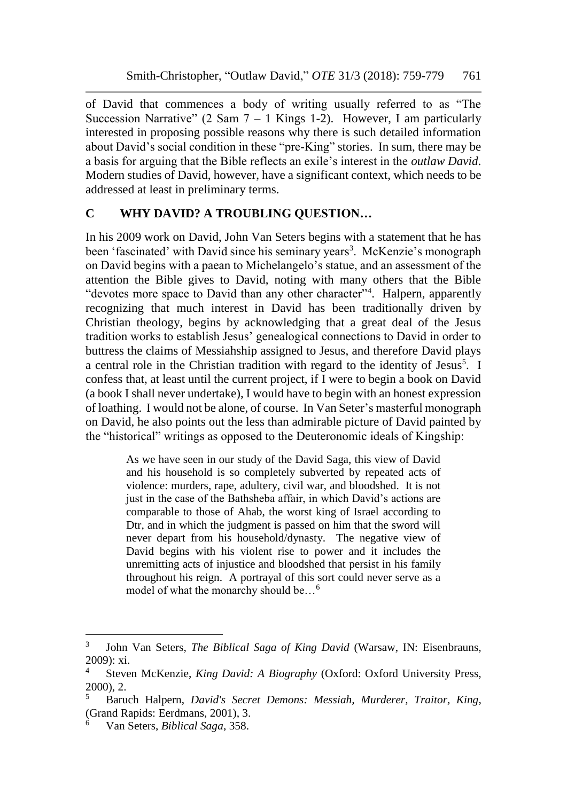of David that commences a body of writing usually referred to as "The Succession Narrative" (2 Sam  $7 - 1$  Kings 1-2). However, I am particularly interested in proposing possible reasons why there is such detailed information about David's social condition in these "pre-King" stories. In sum, there may be a basis for arguing that the Bible reflects an exile's interest in the *outlaw David*. Modern studies of David, however, have a significant context, which needs to be addressed at least in preliminary terms.

## **C WHY DAVID? A TROUBLING QUESTION…**

In his 2009 work on David, John Van Seters begins with a statement that he has been 'fascinated' with David since his seminary years<sup>3</sup>. McKenzie's monograph on David begins with a paean to Michelangelo's statue, and an assessment of the attention the Bible gives to David, noting with many others that the Bible "devotes more space to David than any other character"<sup>4</sup>. Halpern, apparently recognizing that much interest in David has been traditionally driven by Christian theology, begins by acknowledging that a great deal of the Jesus tradition works to establish Jesus' genealogical connections to David in order to buttress the claims of Messiahship assigned to Jesus, and therefore David plays a central role in the Christian tradition with regard to the identity of Jesus<sup>5</sup>. I confess that, at least until the current project, if I were to begin a book on David (a book I shall never undertake), I would have to begin with an honest expression of loathing. I would not be alone, of course. In Van Seter's masterful monograph on David, he also points out the less than admirable picture of David painted by the "historical" writings as opposed to the Deuteronomic ideals of Kingship:

> As we have seen in our study of the David Saga, this view of David and his household is so completely subverted by repeated acts of violence: murders, rape, adultery, civil war, and bloodshed. It is not just in the case of the Bathsheba affair, in which David's actions are comparable to those of Ahab, the worst king of Israel according to Dtr, and in which the judgment is passed on him that the sword will never depart from his household/dynasty. The negative view of David begins with his violent rise to power and it includes the unremitting acts of injustice and bloodshed that persist in his family throughout his reign. A portrayal of this sort could never serve as a model of what the monarchy should be…<sup>6</sup>

<sup>3</sup> John Van Seters, *The Biblical Saga of King David* (Warsaw, IN: Eisenbrauns, 2009): xi.

<sup>4</sup> Steven McKenzie, *King David: A Biography* (Oxford: Oxford University Press, 2000), 2.

<sup>5</sup> Baruch Halpern, *David's Secret Demons: Messiah, Murderer, Traitor, King*, (Grand Rapids: Eerdmans, 2001), 3.

<sup>6</sup> Van Seters, *Biblical Saga*, 358.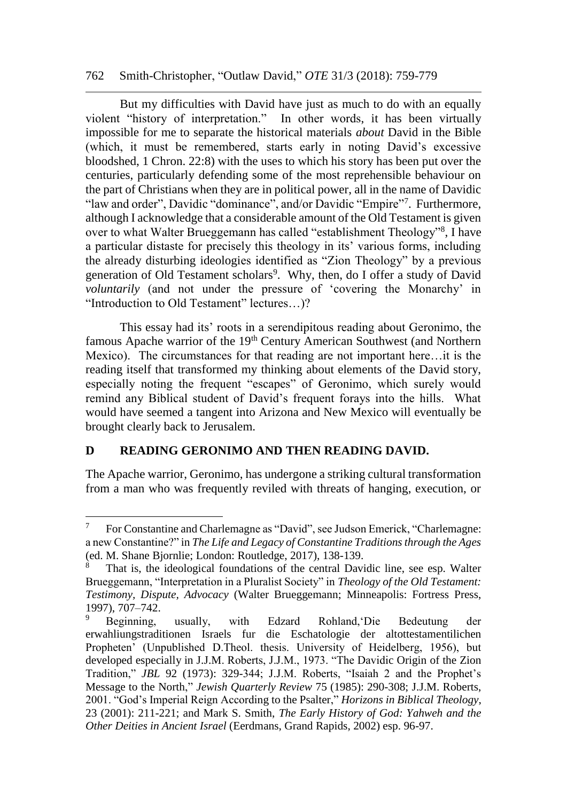#### 762 Smith-Christopher, "Outlaw David," *OTE* 31/3 (2018): 759-779

But my difficulties with David have just as much to do with an equally violent "history of interpretation." In other words, it has been virtually impossible for me to separate the historical materials *about* David in the Bible (which, it must be remembered, starts early in noting David's excessive bloodshed, 1 Chron. 22:8) with the uses to which his story has been put over the centuries, particularly defending some of the most reprehensible behaviour on the part of Christians when they are in political power, all in the name of Davidic "law and order", Davidic "dominance", and/or Davidic "Empire"<sup>7</sup>. Furthermore, although I acknowledge that a considerable amount of the Old Testament is given over to what Walter Brueggemann has called "establishment Theology"<sup>8</sup>, I have a particular distaste for precisely this theology in its' various forms, including the already disturbing ideologies identified as "Zion Theology" by a previous generation of Old Testament scholars<sup>9</sup>. Why, then, do I offer a study of David *voluntarily* (and not under the pressure of 'covering the Monarchy' in "Introduction to Old Testament" lectures…)?

This essay had its' roots in a serendipitous reading about Geronimo, the famous Apache warrior of the 19<sup>th</sup> Century American Southwest (and Northern Mexico). The circumstances for that reading are not important here…it is the reading itself that transformed my thinking about elements of the David story, especially noting the frequent "escapes" of Geronimo, which surely would remind any Biblical student of David's frequent forays into the hills. What would have seemed a tangent into Arizona and New Mexico will eventually be brought clearly back to Jerusalem.

## **D READING GERONIMO AND THEN READING DAVID.**

l

The Apache warrior, Geronimo, has undergone a striking cultural transformation from a man who was frequently reviled with threats of hanging, execution, or

 $7$  For Constantine and Charlemagne as "David", see Judson Emerick, "Charlemagne: a new Constantine?" in *The Life and Legacy of Constantine Traditions through the Ages* (ed. M. Shane Bjornlie; London: Routledge, 2017), 138-139.

<sup>8</sup> That is, the ideological foundations of the central Davidic line, see esp. Walter Brueggemann, "Interpretation in a Pluralist Society" in *Theology of the Old Testament: Testimony, Dispute, Advocacy* (Walter Brueggemann; Minneapolis: Fortress Press, 1997), 707–742.

<sup>9</sup> Beginning, usually, with Edzard Rohland,'Die Bedeutung der erwahliungstraditionen Israels fur die Eschatologie der altottestamentilichen Propheten' (Unpublished D.Theol. thesis. University of Heidelberg, 1956), but developed especially in J.J.M. Roberts, J.J.M., 1973. "The Davidic Origin of the Zion Tradition," *JBL* 92 (1973): 329-344; J.J.M. Roberts, "Isaiah 2 and the Prophet's Message to the North," *Jewish Quarterly Review* 75 (1985): 290-308; J.J.M. Roberts, 2001. "God's Imperial Reign According to the Psalter," *Horizons in Biblical Theology*, 23 (2001): 211-221; and Mark S. Smith, *The Early History of God: Yahweh and the Other Deities in Ancient Israel* (Eerdmans, Grand Rapids, 2002) esp. 96-97.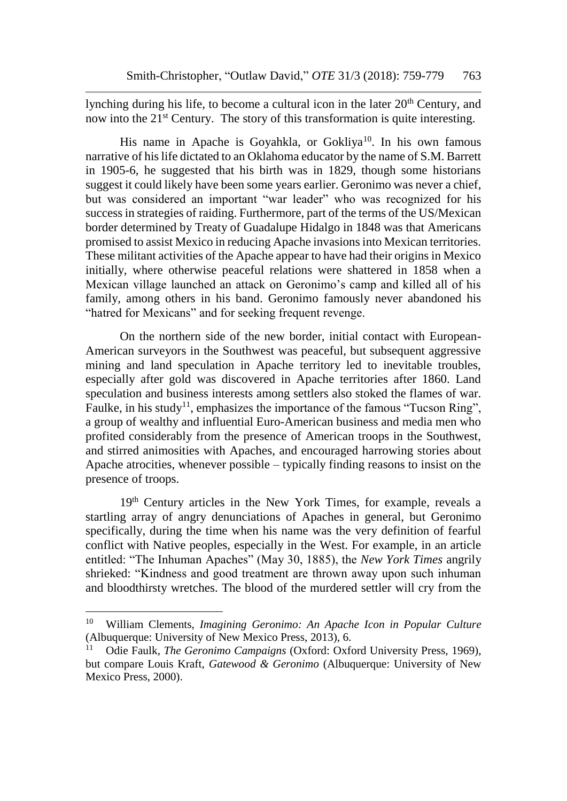lynching during his life, to become a cultural icon in the later  $20<sup>th</sup>$  Century, and now into the 21<sup>st</sup> Century. The story of this transformation is quite interesting.

His name in Apache is Goyahkla, or Gokliya<sup>10</sup>. In his own famous narrative of his life dictated to an Oklahoma educator by the name of S.M. Barrett in 1905-6, he suggested that his birth was in 1829, though some historians suggest it could likely have been some years earlier. Geronimo was never a chief, but was considered an important "war leader" who was recognized for his success in strategies of raiding. Furthermore, part of the terms of the US/Mexican border determined by Treaty of Guadalupe Hidalgo in 1848 was that Americans promised to assist Mexico in reducing Apache invasions into Mexican territories. These militant activities of the Apache appear to have had their origins in Mexico initially, where otherwise peaceful relations were shattered in 1858 when a Mexican village launched an attack on Geronimo's camp and killed all of his family, among others in his band. Geronimo famously never abandoned his "hatred for Mexicans" and for seeking frequent revenge.

On the northern side of the new border, initial contact with European-American surveyors in the Southwest was peaceful, but subsequent aggressive mining and land speculation in Apache territory led to inevitable troubles, especially after gold was discovered in Apache territories after 1860. Land speculation and business interests among settlers also stoked the flames of war. Faulke, in his study<sup>11</sup>, emphasizes the importance of the famous "Tucson Ring", a group of wealthy and influential Euro-American business and media men who profited considerably from the presence of American troops in the Southwest, and stirred animosities with Apaches, and encouraged harrowing stories about Apache atrocities, whenever possible – typically finding reasons to insist on the presence of troops.

19<sup>th</sup> Century articles in the New York Times, for example, reveals a startling array of angry denunciations of Apaches in general, but Geronimo specifically, during the time when his name was the very definition of fearful conflict with Native peoples, especially in the West. For example, in an article entitled: "The Inhuman Apaches" (May 30, 1885), the *New York Times* angrily shrieked: "Kindness and good treatment are thrown away upon such inhuman and bloodthirsty wretches. The blood of the murdered settler will cry from the

<sup>10</sup> William Clements, *Imagining Geronimo: An Apache Icon in Popular Culture* (Albuquerque: University of New Mexico Press, 2013), 6.

<sup>11</sup> Odie Faulk, *The Geronimo Campaigns* (Oxford: Oxford University Press, 1969), but compare Louis Kraft, *Gatewood & Geronimo* (Albuquerque: University of New Mexico Press, 2000).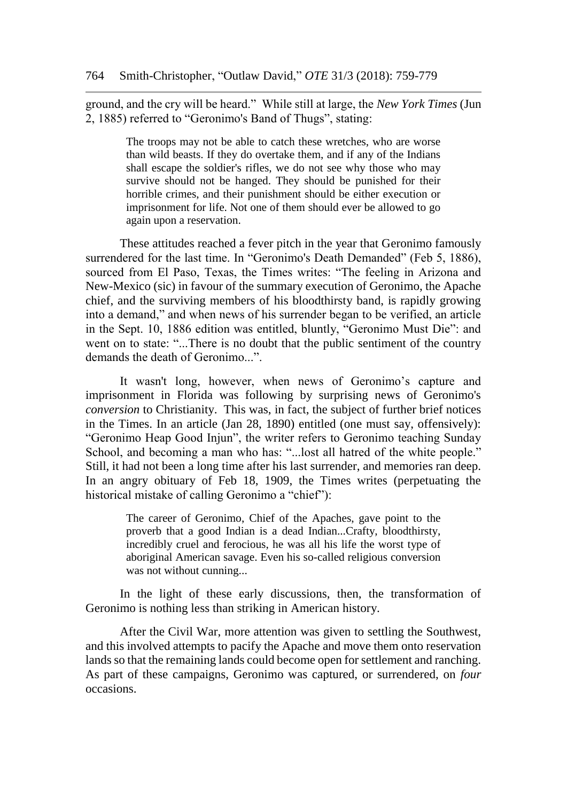ground, and the cry will be heard." While still at large, the *New York Times* (Jun 2, 1885) referred to "Geronimo's Band of Thugs", stating:

> The troops may not be able to catch these wretches, who are worse than wild beasts. If they do overtake them, and if any of the Indians shall escape the soldier's rifles, we do not see why those who may survive should not be hanged. They should be punished for their horrible crimes, and their punishment should be either execution or imprisonment for life. Not one of them should ever be allowed to go again upon a reservation.

These attitudes reached a fever pitch in the year that Geronimo famously surrendered for the last time. In "Geronimo's Death Demanded" (Feb 5, 1886), sourced from El Paso, Texas, the Times writes: "The feeling in Arizona and New-Mexico (sic) in favour of the summary execution of Geronimo, the Apache chief, and the surviving members of his bloodthirsty band, is rapidly growing into a demand," and when news of his surrender began to be verified, an article in the Sept. 10, 1886 edition was entitled, bluntly, "Geronimo Must Die": and went on to state: "...There is no doubt that the public sentiment of the country demands the death of Geronimo...".

It wasn't long, however, when news of Geronimo's capture and imprisonment in Florida was following by surprising news of Geronimo's *conversion* to Christianity. This was, in fact, the subject of further brief notices in the Times. In an article (Jan 28, 1890) entitled (one must say, offensively): "Geronimo Heap Good Injun", the writer refers to Geronimo teaching Sunday School, and becoming a man who has: "...lost all hatred of the white people." Still, it had not been a long time after his last surrender, and memories ran deep. In an angry obituary of Feb 18, 1909, the Times writes (perpetuating the historical mistake of calling Geronimo a "chief"):

> The career of Geronimo, Chief of the Apaches, gave point to the proverb that a good Indian is a dead Indian...Crafty, bloodthirsty, incredibly cruel and ferocious, he was all his life the worst type of aboriginal American savage. Even his so-called religious conversion was not without cunning...

In the light of these early discussions, then, the transformation of Geronimo is nothing less than striking in American history.

After the Civil War, more attention was given to settling the Southwest, and this involved attempts to pacify the Apache and move them onto reservation lands so that the remaining lands could become open for settlement and ranching. As part of these campaigns, Geronimo was captured, or surrendered, on *four*  occasions.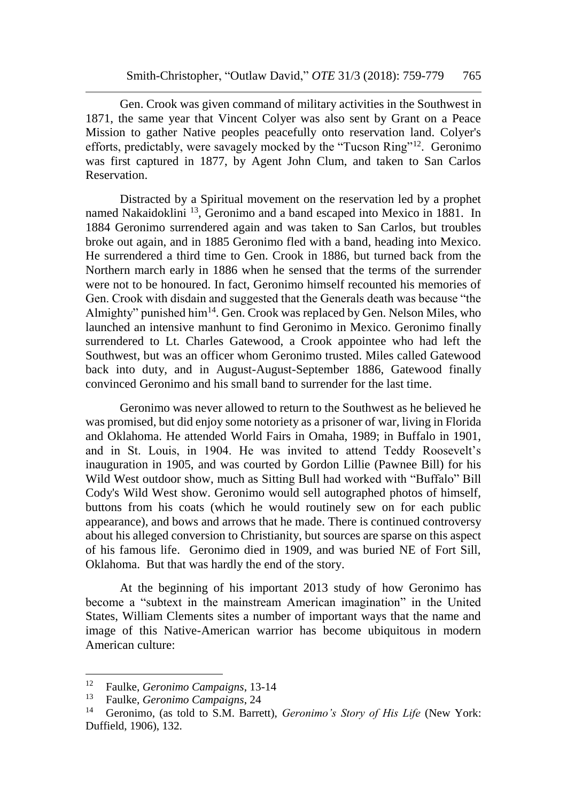Gen. Crook was given command of military activities in the Southwest in 1871, the same year that Vincent Colyer was also sent by Grant on a Peace Mission to gather Native peoples peacefully onto reservation land. Colyer's efforts, predictably, were savagely mocked by the "Tucson Ring"<sup>12</sup>. Geronimo was first captured in 1877, by Agent John Clum, and taken to San Carlos Reservation.

Distracted by a Spiritual movement on the reservation led by a prophet named Nakaidoklini <sup>13</sup>, Geronimo and a band escaped into Mexico in 1881. In 1884 Geronimo surrendered again and was taken to San Carlos, but troubles broke out again, and in 1885 Geronimo fled with a band, heading into Mexico. He surrendered a third time to Gen. Crook in 1886, but turned back from the Northern march early in 1886 when he sensed that the terms of the surrender were not to be honoured. In fact, Geronimo himself recounted his memories of Gen. Crook with disdain and suggested that the Generals death was because "the Almighty" punished him<sup>14</sup>. Gen. Crook was replaced by Gen. Nelson Miles, who launched an intensive manhunt to find Geronimo in Mexico. Geronimo finally surrendered to Lt. Charles Gatewood, a Crook appointee who had left the Southwest, but was an officer whom Geronimo trusted. Miles called Gatewood back into duty, and in August-August-September 1886, Gatewood finally convinced Geronimo and his small band to surrender for the last time.

Geronimo was never allowed to return to the Southwest as he believed he was promised, but did enjoy some notoriety as a prisoner of war, living in Florida and Oklahoma. He attended World Fairs in Omaha, 1989; in Buffalo in 1901, and in St. Louis, in 1904. He was invited to attend Teddy Roosevelt's inauguration in 1905, and was courted by Gordon Lillie (Pawnee Bill) for his Wild West outdoor show, much as Sitting Bull had worked with "Buffalo" Bill Cody's Wild West show. Geronimo would sell autographed photos of himself, buttons from his coats (which he would routinely sew on for each public appearance), and bows and arrows that he made. There is continued controversy about his alleged conversion to Christianity, but sources are sparse on this aspect of his famous life. Geronimo died in 1909, and was buried NE of Fort Sill, Oklahoma. But that was hardly the end of the story.

At the beginning of his important 2013 study of how Geronimo has become a "subtext in the mainstream American imagination" in the United States, William Clements sites a number of important ways that the name and image of this Native-American warrior has become ubiquitous in modern American culture:

<sup>12</sup> Faulke, *Geronimo Campaigns*, 13-14

<sup>13</sup> Faulke, *Geronimo Campaigns*, 24

<sup>14</sup> Geronimo, (as told to S.M. Barrett), *Geronimo's Story of His Life* (New York: Duffield, 1906), 132.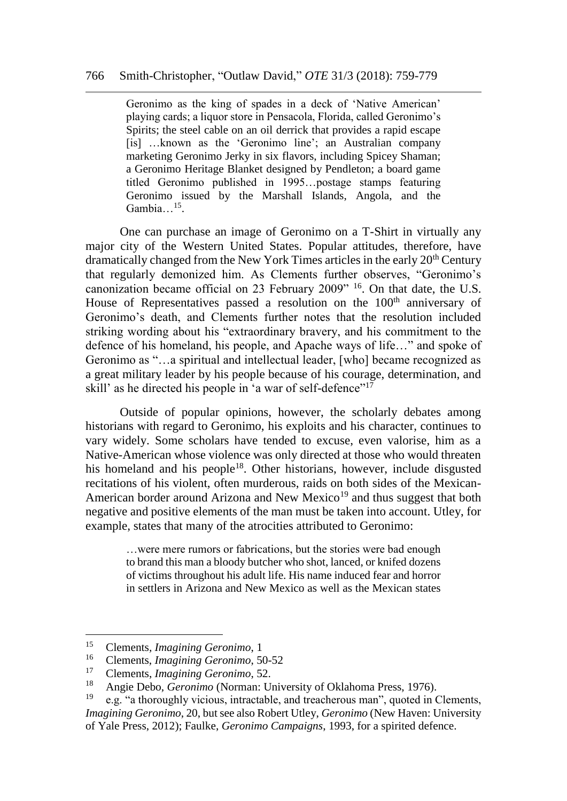Geronimo as the king of spades in a deck of 'Native American' playing cards; a liquor store in Pensacola, Florida, called Geronimo's Spirits; the steel cable on an oil derrick that provides a rapid escape [is] …known as the 'Geronimo line'; an Australian company marketing Geronimo Jerky in six flavors, including Spicey Shaman; a Geronimo Heritage Blanket designed by Pendleton; a board game titled Geronimo published in 1995…postage stamps featuring Geronimo issued by the Marshall Islands, Angola, and the Gambia...<sup>15</sup>.

One can purchase an image of Geronimo on a T-Shirt in virtually any major city of the Western United States. Popular attitudes, therefore, have dramatically changed from the New York Times articles in the early 20<sup>th</sup> Century that regularly demonized him. As Clements further observes, "Geronimo's canonization became official on 23 February 2009" <sup>16</sup>. On that date, the U.S. House of Representatives passed a resolution on the 100<sup>th</sup> anniversary of Geronimo's death, and Clements further notes that the resolution included striking wording about his "extraordinary bravery, and his commitment to the defence of his homeland, his people, and Apache ways of life…" and spoke of Geronimo as "…a spiritual and intellectual leader, [who] became recognized as a great military leader by his people because of his courage, determination, and skill' as he directed his people in 'a war of self-defence"<sup>17</sup>

Outside of popular opinions, however, the scholarly debates among historians with regard to Geronimo, his exploits and his character, continues to vary widely. Some scholars have tended to excuse, even valorise, him as a Native-American whose violence was only directed at those who would threaten his homeland and his people<sup>18</sup>. Other historians, however, include disgusted recitations of his violent, often murderous, raids on both sides of the Mexican-American border around Arizona and New Mexico<sup>19</sup> and thus suggest that both negative and positive elements of the man must be taken into account. Utley, for example, states that many of the atrocities attributed to Geronimo:

> …were mere rumors or fabrications, but the stories were bad enough to brand this man a bloody butcher who shot, lanced, or knifed dozens of victims throughout his adult life. His name induced fear and horror in settlers in Arizona and New Mexico as well as the Mexican states

<sup>&</sup>lt;sup>15</sup> Clements, *Imagining Geronimo*, 1<sup>16</sup> Clements, *Imagining Geronimo*, 50

<sup>16</sup> Clements, *Imagining Geronimo*, 50-52

<sup>17</sup> Clements, *Imagining Geronimo*, 52.

<sup>&</sup>lt;sup>18</sup> Angie Debo, *Geronimo* (Norman: University of Oklahoma Press, 1976).

e.g. "a thoroughly vicious, intractable, and treacherous man", quoted in Clements, *Imagining Geronimo*, 20, but see also Robert Utley, *Geronimo* (New Haven: University of Yale Press, 2012); Faulke, *Geronimo Campaigns*, 1993, for a spirited defence.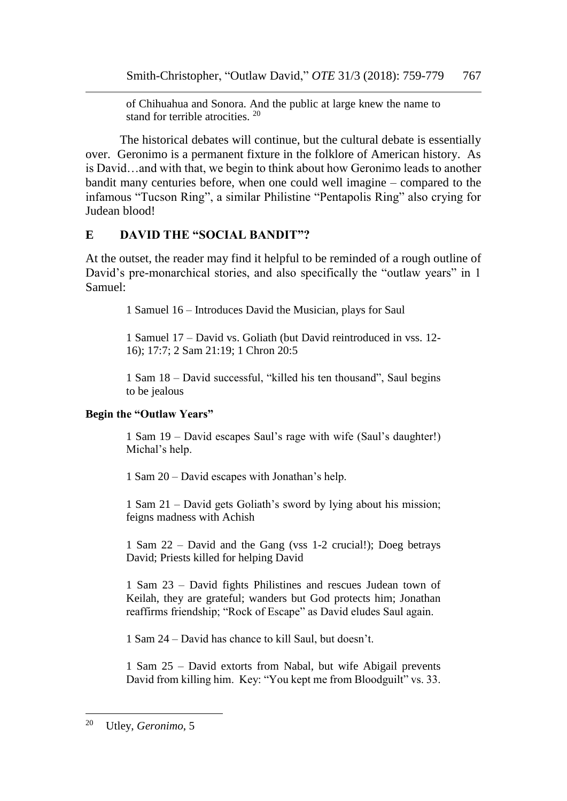of Chihuahua and Sonora. And the public at large knew the name to stand for terrible atrocities. <sup>20</sup>

The historical debates will continue, but the cultural debate is essentially over. Geronimo is a permanent fixture in the folklore of American history. As is David…and with that, we begin to think about how Geronimo leads to another bandit many centuries before, when one could well imagine – compared to the infamous "Tucson Ring", a similar Philistine "Pentapolis Ring" also crying for Judean blood!

## **E DAVID THE "SOCIAL BANDIT"?**

At the outset, the reader may find it helpful to be reminded of a rough outline of David's pre-monarchical stories, and also specifically the "outlaw years" in 1 Samuel:

1 Samuel 16 – Introduces David the Musician, plays for Saul

1 Samuel 17 – David vs. Goliath (but David reintroduced in vss. 12- 16); 17:7; 2 Sam 21:19; 1 Chron 20:5

1 Sam 18 – David successful, "killed his ten thousand", Saul begins to be jealous

## **Begin the "Outlaw Years"**

1 Sam 19 – David escapes Saul's rage with wife (Saul's daughter!) Michal's help.

1 Sam 20 – David escapes with Jonathan's help.

1 Sam 21 – David gets Goliath's sword by lying about his mission; feigns madness with Achish

1 Sam 22 – David and the Gang (vss 1-2 crucial!); Doeg betrays David; Priests killed for helping David

1 Sam 23 – David fights Philistines and rescues Judean town of Keilah, they are grateful; wanders but God protects him; Jonathan reaffirms friendship; "Rock of Escape" as David eludes Saul again.

1 Sam 24 – David has chance to kill Saul, but doesn't.

1 Sam 25 – David extorts from Nabal, but wife Abigail prevents David from killing him. Key: "You kept me from Bloodguilt" vs. 33.

l <sup>20</sup> Utley, *Geronimo*, 5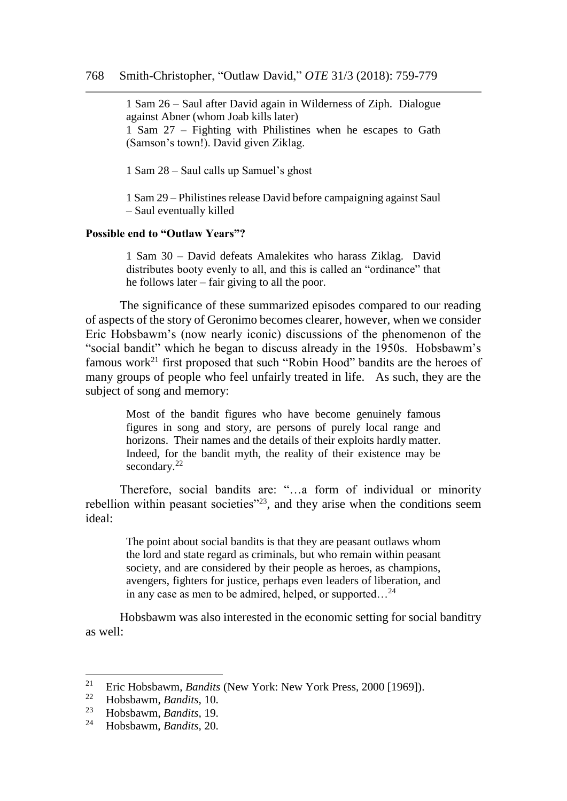1 Sam 26 – Saul after David again in Wilderness of Ziph. Dialogue against Abner (whom Joab kills later) 1 Sam 27 – Fighting with Philistines when he escapes to Gath (Samson's town!). David given Ziklag.

1 Sam 28 – Saul calls up Samuel's ghost

1 Sam 29 – Philistines release David before campaigning against Saul – Saul eventually killed

#### **Possible end to "Outlaw Years"?**

1 Sam 30 – David defeats Amalekites who harass Ziklag. David distributes booty evenly to all, and this is called an "ordinance" that he follows later – fair giving to all the poor.

The significance of these summarized episodes compared to our reading of aspects of the story of Geronimo becomes clearer, however, when we consider Eric Hobsbawm's (now nearly iconic) discussions of the phenomenon of the "social bandit" which he began to discuss already in the 1950s. Hobsbawm's famous work<sup>21</sup> first proposed that such "Robin Hood" bandits are the heroes of many groups of people who feel unfairly treated in life. As such, they are the subject of song and memory:

> Most of the bandit figures who have become genuinely famous figures in song and story, are persons of purely local range and horizons. Their names and the details of their exploits hardly matter. Indeed, for the bandit myth, the reality of their existence may be secondary.<sup>22</sup>

Therefore, social bandits are: "…a form of individual or minority rebellion within peasant societies<sup>"23</sup>, and they arise when the conditions seem ideal:

> The point about social bandits is that they are peasant outlaws whom the lord and state regard as criminals, but who remain within peasant society, and are considered by their people as heroes, as champions, avengers, fighters for justice, perhaps even leaders of liberation, and in any case as men to be admired, helped, or supported…<sup>24</sup>

Hobsbawm was also interested in the economic setting for social banditry as well:

<sup>&</sup>lt;sup>21</sup> Eric Hobsbawm, *Bandits* (New York: New York Press, 2000 [1969]).

<sup>22</sup> Hobsbawm, *Bandits,* 10.

<sup>23</sup> Hobsbawm, *Bandits,* 19.

<sup>24</sup> Hobsbawm, *Bandits,* 20.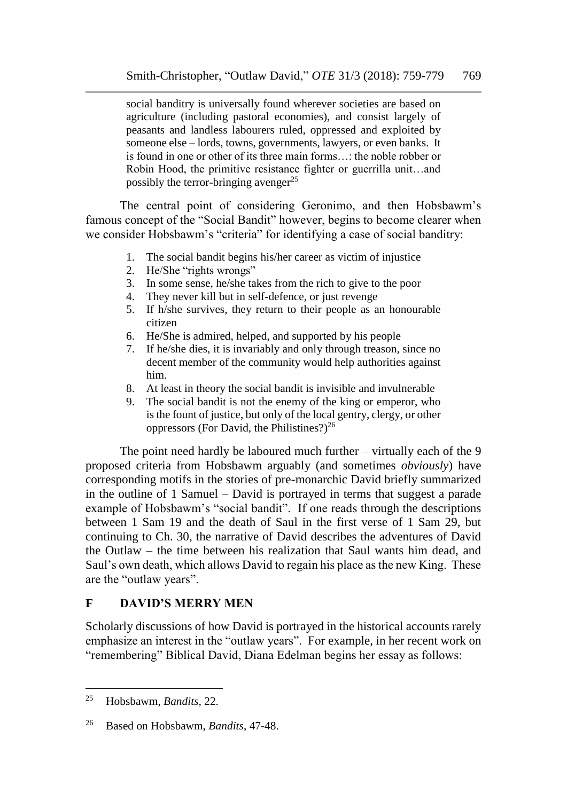social banditry is universally found wherever societies are based on agriculture (including pastoral economies), and consist largely of peasants and landless labourers ruled, oppressed and exploited by someone else – lords, towns, governments, lawyers, or even banks. It is found in one or other of its three main forms…: the noble robber or Robin Hood, the primitive resistance fighter or guerrilla unit…and possibly the terror-bringing avenger<sup>25</sup>

The central point of considering Geronimo, and then Hobsbawm's famous concept of the "Social Bandit" however, begins to become clearer when we consider Hobsbawm's "criteria" for identifying a case of social banditry:

- 1. The social bandit begins his/her career as victim of injustice
- 2. He/She "rights wrongs"
- 3. In some sense, he/she takes from the rich to give to the poor
- 4. They never kill but in self-defence, or just revenge
- 5. If h/she survives, they return to their people as an honourable citizen
- 6. He/She is admired, helped, and supported by his people
- 7. If he/she dies, it is invariably and only through treason, since no decent member of the community would help authorities against him.
- 8. At least in theory the social bandit is invisible and invulnerable
- 9. The social bandit is not the enemy of the king or emperor, who is the fount of justice, but only of the local gentry, clergy, or other oppressors (For David, the Philistines?) $^{26}$

The point need hardly be laboured much further – virtually each of the 9 proposed criteria from Hobsbawm arguably (and sometimes *obviously*) have corresponding motifs in the stories of pre-monarchic David briefly summarized in the outline of 1 Samuel – David is portrayed in terms that suggest a parade example of Hobsbawm's "social bandit". If one reads through the descriptions between 1 Sam 19 and the death of Saul in the first verse of 1 Sam 29, but continuing to Ch. 30, the narrative of David describes the adventures of David the Outlaw – the time between his realization that Saul wants him dead, and Saul's own death, which allows David to regain his place as the new King. These are the "outlaw years".

## **F DAVID'S MERRY MEN**

Scholarly discussions of how David is portrayed in the historical accounts rarely emphasize an interest in the "outlaw years". For example, in her recent work on "remembering" Biblical David, Diana Edelman begins her essay as follows:

<sup>25</sup> Hobsbawm, *Bandits,* 22.

<sup>26</sup> Based on Hobsbawm, *Bandits*, 47-48.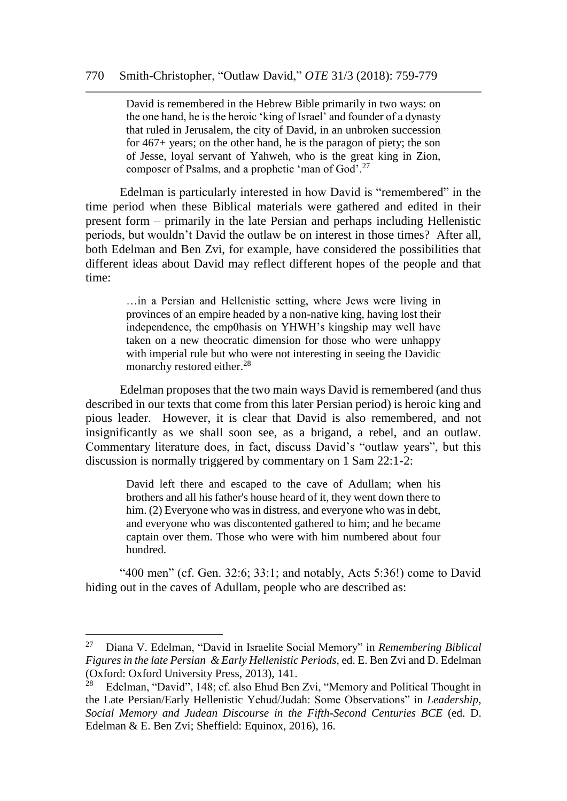David is remembered in the Hebrew Bible primarily in two ways: on the one hand, he is the heroic 'king of Israel' and founder of a dynasty that ruled in Jerusalem, the city of David, in an unbroken succession for 467+ years; on the other hand, he is the paragon of piety; the son of Jesse, loyal servant of Yahweh, who is the great king in Zion, composer of Psalms, and a prophetic 'man of God'.<sup>27</sup>

Edelman is particularly interested in how David is "remembered" in the time period when these Biblical materials were gathered and edited in their present form – primarily in the late Persian and perhaps including Hellenistic periods, but wouldn't David the outlaw be on interest in those times? After all, both Edelman and Ben Zvi, for example, have considered the possibilities that different ideas about David may reflect different hopes of the people and that time:

> …in a Persian and Hellenistic setting, where Jews were living in provinces of an empire headed by a non-native king, having lost their independence, the emp0hasis on YHWH's kingship may well have taken on a new theocratic dimension for those who were unhappy with imperial rule but who were not interesting in seeing the Davidic monarchy restored either.<sup>28</sup>

Edelman proposes that the two main ways David is remembered (and thus described in our texts that come from this later Persian period) is heroic king and pious leader. However, it is clear that David is also remembered, and not insignificantly as we shall soon see, as a brigand, a rebel, and an outlaw. Commentary literature does, in fact, discuss David's "outlaw years", but this discussion is normally triggered by commentary on 1 Sam 22:1-2:

David left there and escaped to the cave of Adullam; when his brothers and all his father's house heard of it, they went down there to him. (2) Everyone who was in distress, and everyone who was in debt, and everyone who was discontented gathered to him; and he became captain over them. Those who were with him numbered about four hundred.

"400 men" (cf. Gen.  $32:6$ ;  $33:1$ ; and notably, Acts  $5:36$ !) come to David hiding out in the caves of Adullam, people who are described as:

<sup>27</sup> Diana V. Edelman, "David in Israelite Social Memory" in *Remembering Biblical Figures in the late Persian & Early Hellenistic Periods,* ed. E. Ben Zvi and D. Edelman (Oxford: Oxford University Press, 2013), 141.<br><sup>28</sup> Edelman "David" 148: cf also Ehud Ben

Edelman, "David", 148; cf. also Ehud Ben Zvi, "Memory and Political Thought in the Late Persian/Early Hellenistic Yehud/Judah: Some Observations" in *Leadership, Social Memory and Judean Discourse in the Fifth-Second Centuries BCE* (ed. D. Edelman & E. Ben Zvi; Sheffield: Equinox, 2016), 16.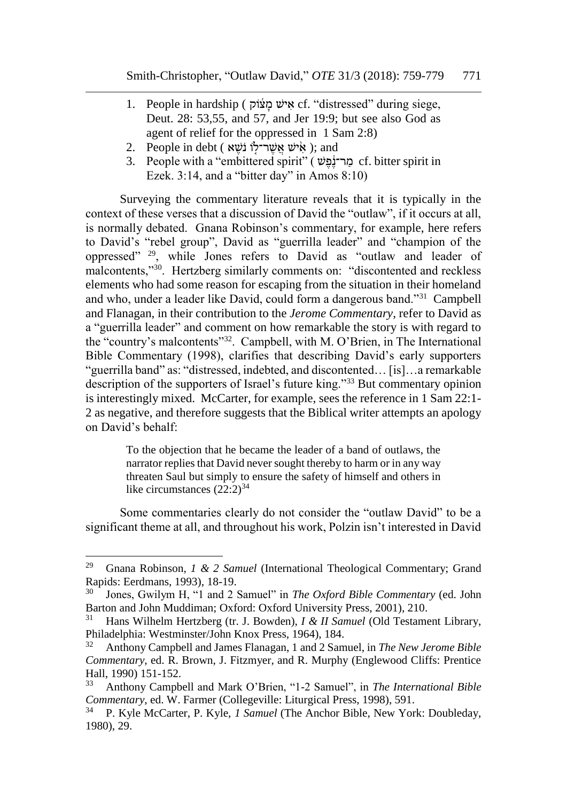- 1. People in hardship ( אישׁ מֹצוֹק cf. "distressed" during siege, Deut. 28: 53,55, and 57, and Jer 19:9; but see also God as agent of relief for the oppressed in 1 Sam 2:8)
- 2. People in debt ( אִישׁ אַשָּׁר־לוֹ נֹשֵׁא ); and
- 3. People with a "embittered spirit" ( מר־נֹפּש cf. bitter spirit in Ezek. 3:14, and a "bitter day" in Amos 8:10)

Surveying the commentary literature reveals that it is typically in the context of these verses that a discussion of David the "outlaw", if it occurs at all, is normally debated. Gnana Robinson's commentary, for example, here refers to David's "rebel group", David as "guerrilla leader" and "champion of the oppressed" <sup>29</sup>, while Jones refers to David as "outlaw and leader of malcontents,"<sup>30</sup>. Hertzberg similarly comments on: "discontented and reckless elements who had some reason for escaping from the situation in their homeland and who, under a leader like David, could form a dangerous band."<sup>31</sup> Campbell and Flanagan, in their contribution to the *Jerome Commentary*, refer to David as a "guerrilla leader" and comment on how remarkable the story is with regard to the "country's malcontents"<sup>32</sup>. Campbell, with M. O'Brien, in The International Bible Commentary (1998), clarifies that describing David's early supporters "guerrilla band" as: "distressed, indebted, and discontented… [is]…a remarkable description of the supporters of Israel's future king."<sup>33</sup> But commentary opinion is interestingly mixed. McCarter, for example, sees the reference in 1 Sam 22:1- 2 as negative, and therefore suggests that the Biblical writer attempts an apology on David's behalf:

> To the objection that he became the leader of a band of outlaws, the narrator replies that David never sought thereby to harm or in any way threaten Saul but simply to ensure the safety of himself and others in like circumstances  $(22:2)^{34}$

Some commentaries clearly do not consider the "outlaw David" to be a significant theme at all, and throughout his work, Polzin isn't interested in David

<sup>29</sup> Gnana Robinson, *1 & 2 Samuel* (International Theological Commentary; Grand Rapids: Eerdmans, 1993), 18-19.

<sup>&</sup>lt;sup>30</sup> Jones, Gwilym H, "1 and 2 Samuel" in *The Oxford Bible Commentary* (ed. John Barton and John Muddiman; Oxford: Oxford University Press, 2001), 210.

<sup>31</sup> Hans Wilhelm Hertzberg (tr. J. Bowden), *I & II Samuel* (Old Testament Library, Philadelphia: Westminster/John Knox Press, 1964), 184.

<sup>32</sup> Anthony Campbell and James Flanagan, 1 and 2 Samuel, in *The New Jerome Bible Commentary*, ed. R. Brown, J. Fitzmyer, and R. Murphy (Englewood Cliffs: Prentice Hall, 1990) 151-152.<br>  $\frac{33}{2}$  Anthony Campb

<sup>33</sup> Anthony Campbell and Mark O'Brien, "1-2 Samuel", in *The International Bible Commentary*, ed. W. Farmer (Collegeville: Liturgical Press, 1998), 591.

<sup>34</sup> P. Kyle McCarter, P. Kyle, *1 Samuel* (The Anchor Bible, New York: Doubleday, 1980), 29.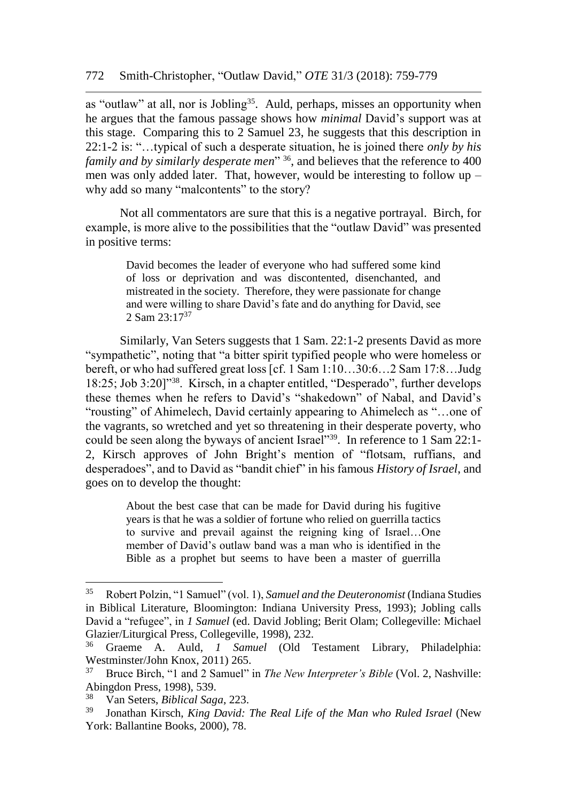as "outlaw" at all, nor is Jobling<sup>35</sup>. Auld, perhaps, misses an opportunity when he argues that the famous passage shows how *minimal* David's support was at this stage. Comparing this to 2 Samuel 23, he suggests that this description in 22:1-2 is: "…typical of such a desperate situation, he is joined there *only by his family and by similarly desperate men*<sup>"36</sup>, and believes that the reference to 400 men was only added later. That, however, would be interesting to follow up – why add so many "malcontents" to the story?

Not all commentators are sure that this is a negative portrayal. Birch, for example, is more alive to the possibilities that the "outlaw David" was presented in positive terms:

> David becomes the leader of everyone who had suffered some kind of loss or deprivation and was discontented, disenchanted, and mistreated in the society. Therefore, they were passionate for change and were willing to share David's fate and do anything for David, see 2 Sam  $23:17^{37}$

Similarly, Van Seters suggests that 1 Sam. 22:1-2 presents David as more "sympathetic", noting that "a bitter spirit typified people who were homeless or bereft, or who had suffered great loss [cf. 1 Sam 1:10…30:6…2 Sam 17:8…Judg 18:25; Job 3:20]"<sup>38</sup>. Kirsch, in a chapter entitled, "Desperado", further develops these themes when he refers to David's "shakedown" of Nabal, and David's "rousting" of Ahimelech, David certainly appearing to Ahimelech as "…one of the vagrants, so wretched and yet so threatening in their desperate poverty, who could be seen along the byways of ancient Israel"<sup>39</sup>. In reference to 1 Sam 22:1- 2, Kirsch approves of John Bright's mention of "flotsam, ruffians, and desperadoes", and to David as "bandit chief" in his famous *History of Israel*, and goes on to develop the thought:

> About the best case that can be made for David during his fugitive years is that he was a soldier of fortune who relied on guerrilla tactics to survive and prevail against the reigning king of Israel…One member of David's outlaw band was a man who is identified in the Bible as a prophet but seems to have been a master of guerrilla

<sup>35</sup> Robert Polzin, "1 Samuel" (vol. 1), *Samuel and the Deuteronomist* (Indiana Studies in Biblical Literature, Bloomington: Indiana University Press, 1993); Jobling calls David a "refugee", in *1 Samuel* (ed. David Jobling; Berit Olam; Collegeville: Michael Glazier/Liturgical Press, Collegeville, 1998), 232.<br><sup>36</sup> Graeme, A., Auld, J., Samuel, Cold, 7

<sup>36</sup> Graeme A. Auld, *1 Samuel* (Old Testament Library, Philadelphia: Westminster/John Knox, 2011) 265.

<sup>37</sup> Bruce Birch, "1 and 2 Samuel" in *The New Interpreter's Bible* (Vol. 2, Nashville: Abingdon Press, 1998), 539.<br> $\frac{38}{100}$  Mon Saters, *Biblical Sans* 

<sup>38</sup> Van Seters, *Biblical Saga*, 223.

<sup>39</sup> Jonathan Kirsch, *King David: The Real Life of the Man who Ruled Israel* (New York: Ballantine Books, 2000), 78.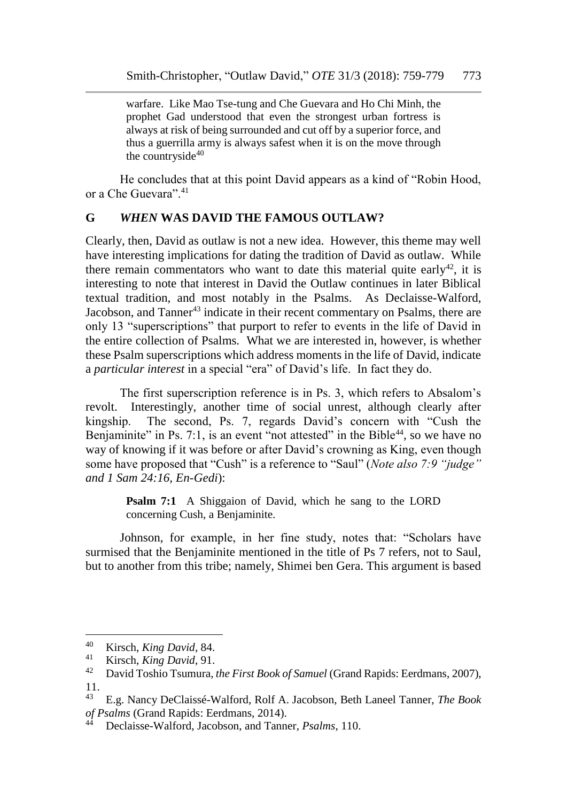warfare. Like Mao Tse-tung and Che Guevara and Ho Chi Minh, the prophet Gad understood that even the strongest urban fortress is always at risk of being surrounded and cut off by a superior force, and thus a guerrilla army is always safest when it is on the move through the countryside $40$ 

He concludes that at this point David appears as a kind of "Robin Hood, or a Che Guevara".<sup>41</sup>

#### **G** *WHEN* **WAS DAVID THE FAMOUS OUTLAW?**

Clearly, then, David as outlaw is not a new idea. However, this theme may well have interesting implications for dating the tradition of David as outlaw. While there remain commentators who want to date this material quite early<sup>42</sup>, it is interesting to note that interest in David the Outlaw continues in later Biblical textual tradition, and most notably in the Psalms. As Declaisse-Walford, Jacobson, and Tanner<sup>43</sup> indicate in their recent commentary on Psalms, there are only 13 "superscriptions" that purport to refer to events in the life of David in the entire collection of Psalms. What we are interested in, however, is whether these Psalm superscriptions which address moments in the life of David, indicate a *particular interest* in a special "era" of David's life. In fact they do.

The first superscription reference is in Ps. 3, which refers to Absalom's revolt. Interestingly, another time of social unrest, although clearly after kingship. The second, Ps. 7, regards David's concern with "Cush the Benjaminite" in Ps. 7:1, is an event "not attested" in the Bible<sup>44</sup>, so we have no way of knowing if it was before or after David's crowning as King, even though some have proposed that "Cush" is a reference to "Saul" (*Note also 7:9 "judge" and 1 Sam 24:16, En-Gedi*):

> **Psalm 7:1** A Shiggaion of David, which he sang to the LORD concerning Cush, a Benjaminite.

Johnson, for example, in her fine study, notes that: "Scholars have surmised that the Benjaminite mentioned in the title of Ps 7 refers, not to Saul, but to another from this tribe; namely, Shimei ben Gera. This argument is based

<sup>40</sup> Kirsch, *King David*, 84.<br>41 Kirsch, *King David*, 91

<sup>41</sup> Kirsch, *King David*, 91.

<sup>42</sup> David Toshio Tsumura, *the First Book of Samuel* (Grand Rapids: Eerdmans, 2007),  $\frac{11}{43}$ 

<sup>43</sup> E.g. Nancy DeClaissé-Walford, Rolf A. Jacobson, Beth Laneel Tanner, *The Book of Psalms* (Grand Rapids: Eerdmans, 2014).

<sup>44</sup> Declaisse-Walford, Jacobson, and Tanner, *Psalms*, 110.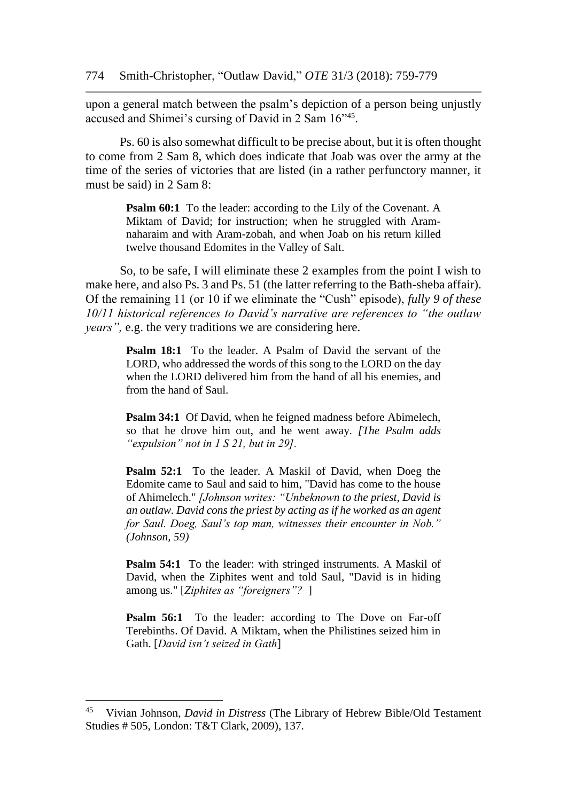upon a general match between the psalm's depiction of a person being unjustly accused and Shimei's cursing of David in 2 Sam 16"<sup>45</sup> .

Ps. 60 is also somewhat difficult to be precise about, but it is often thought to come from 2 Sam 8, which does indicate that Joab was over the army at the time of the series of victories that are listed (in a rather perfunctory manner, it must be said) in 2 Sam 8:

**Psalm 60:1** To the leader: according to the Lily of the Covenant. A Miktam of David; for instruction; when he struggled with Aramnaharaim and with Aram-zobah, and when Joab on his return killed twelve thousand Edomites in the Valley of Salt.

So, to be safe, I will eliminate these 2 examples from the point I wish to make here, and also Ps. 3 and Ps. 51 (the latter referring to the Bath-sheba affair). Of the remaining 11 (or 10 if we eliminate the "Cush" episode), *fully 9 of these 10/11 historical references to David's narrative are references to "the outlaw years",* e.g. the very traditions we are considering here.

> **Psalm 18:1** To the leader. A Psalm of David the servant of the LORD, who addressed the words of this song to the LORD on the day when the LORD delivered him from the hand of all his enemies, and from the hand of Saul.

> **Psalm 34:1** Of David, when he feigned madness before Abimelech, so that he drove him out, and he went away. *[The Psalm adds "expulsion" not in 1 S 21, but in 29].*

> **Psalm 52:1** To the leader. A Maskil of David, when Doeg the Edomite came to Saul and said to him, "David has come to the house of Ahimelech." *[Johnson writes: "Unbeknown to the priest, David is an outlaw. David cons the priest by acting as if he worked as an agent for Saul. Doeg, Saul's top man, witnesses their encounter in Nob." (Johnson, 59)*

> **Psalm 54:1** To the leader: with stringed instruments. A Maskil of David, when the Ziphites went and told Saul, "David is in hiding among us." [*Ziphites as "foreigners"?* ]

> **Psalm 56:1** To the leader: according to The Dove on Far-off Terebinths. Of David. A Miktam, when the Philistines seized him in Gath. [*David isn't seized in Gath*]

<sup>45</sup> Vivian Johnson, *David in Distress* (The Library of Hebrew Bible/Old Testament Studies # 505, London: T&T Clark, 2009), 137.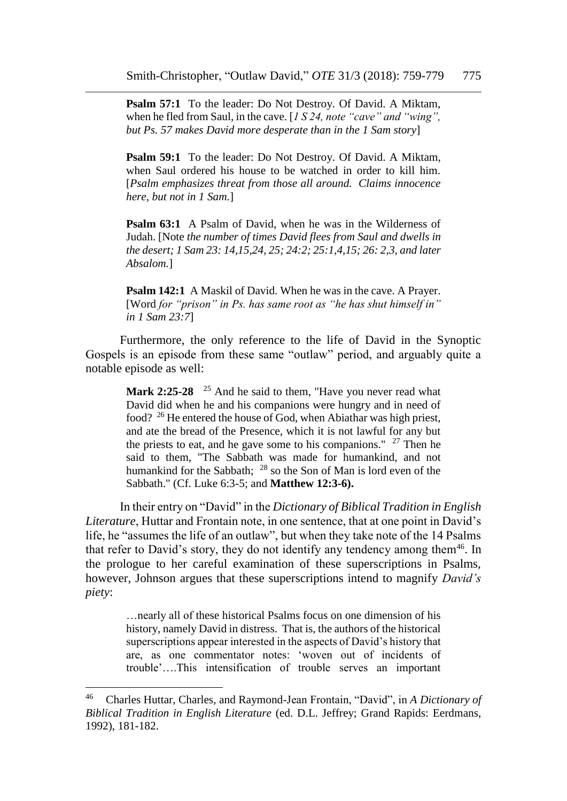**Psalm 57:1** To the leader: Do Not Destroy. Of David. A Miktam, when he fled from Saul, in the cave. [*1 S 24, note "cave" and "wing", but Ps. 57 makes David more desperate than in the 1 Sam story*]

**Psalm 59:1** To the leader: Do Not Destroy. Of David. A Miktam, when Saul ordered his house to be watched in order to kill him. [*Psalm emphasizes threat from those all around. Claims innocence here, but not in 1 Sam.*]

**Psalm 63:1** A Psalm of David, when he was in the Wilderness of Judah. [Note *the number of times David flees from Saul and dwells in the desert; 1 Sam 23: 14,15,24, 25; 24:2; 25:1,4,15; 26: 2,3, and later Absalom.*]

**Psalm 142:1** A Maskil of David. When he was in the cave. A Prayer. [Word *for "prison" in Ps. has same root as "he has shut himself in" in 1 Sam 23:7*]

Furthermore, the only reference to the life of David in the Synoptic Gospels is an episode from these same "outlaw" period, and arguably quite a notable episode as well:

Mark 2:25-28 <sup>25</sup> And he said to them, "Have you never read what David did when he and his companions were hungry and in need of food? <sup>26</sup> He entered the house of God, when Abiathar was high priest, and ate the bread of the Presence, which it is not lawful for any but the priests to eat, and he gave some to his companions."  $27$  Then he said to them, "The Sabbath was made for humankind, and not humankind for the Sabbath; <sup>28</sup> so the Son of Man is lord even of the Sabbath." (Cf. Luke 6:3-5; and **Matthew 12:3-6).** 

In their entry on "David" in the *Dictionary of Biblical Tradition in English Literature*, Huttar and Frontain note, in one sentence, that at one point in David's life, he "assumes the life of an outlaw", but when they take note of the 14 Psalms that refer to David's story, they do not identify any tendency among them<sup>46</sup>. In the prologue to her careful examination of these superscriptions in Psalms, however, Johnson argues that these superscriptions intend to magnify *David's piety*:

…nearly all of these historical Psalms focus on one dimension of his history, namely David in distress. That is, the authors of the historical superscriptions appear interested in the aspects of David's history that are, as one commentator notes: 'woven out of incidents of trouble'….This intensification of trouble serves an important

<sup>46</sup> Charles Huttar, Charles, and Raymond-Jean Frontain, "David", in *A Dictionary of Biblical Tradition in English Literature* (ed. D.L. Jeffrey; Grand Rapids: Eerdmans, 1992), 181-182.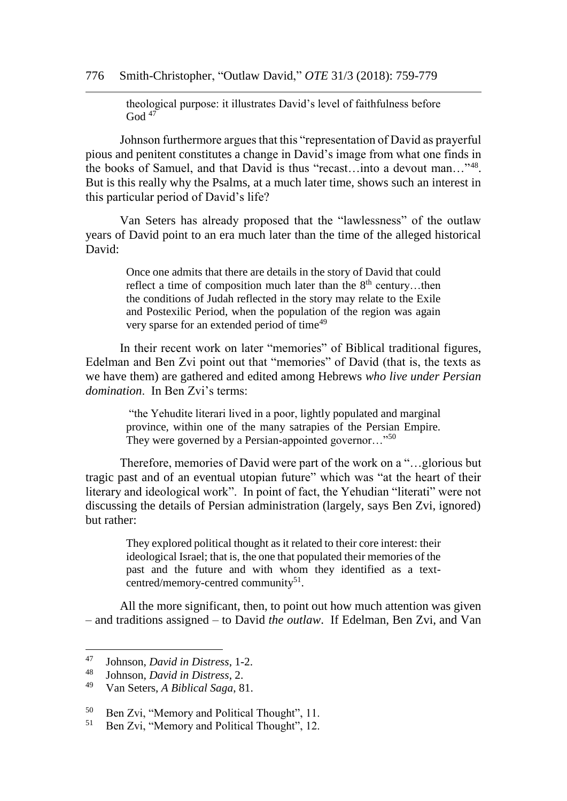theological purpose: it illustrates David's level of faithfulness before God  $47$ 

Johnson furthermore argues that this "representation of David as prayerful pious and penitent constitutes a change in David's image from what one finds in the books of Samuel, and that David is thus "recast…into a devout man…"<sup>48</sup> . But is this really why the Psalms, at a much later time, shows such an interest in this particular period of David's life?

Van Seters has already proposed that the "lawlessness" of the outlaw years of David point to an era much later than the time of the alleged historical David:

> Once one admits that there are details in the story of David that could reflect a time of composition much later than the  $8<sup>th</sup>$  century...then the conditions of Judah reflected in the story may relate to the Exile and Postexilic Period, when the population of the region was again very sparse for an extended period of time<sup>49</sup>

In their recent work on later "memories" of Biblical traditional figures, Edelman and Ben Zvi point out that "memories" of David (that is, the texts as we have them) are gathered and edited among Hebrews *who live under Persian domination*. In Ben Zvi's terms:

> "the Yehudite literari lived in a poor, lightly populated and marginal province, within one of the many satrapies of the Persian Empire. They were governed by a Persian-appointed governor..."<sup>50</sup>

Therefore, memories of David were part of the work on a "…glorious but tragic past and of an eventual utopian future" which was "at the heart of their literary and ideological work". In point of fact, the Yehudian "literati" were not discussing the details of Persian administration (largely, says Ben Zvi, ignored) but rather:

> They explored political thought as it related to their core interest: their ideological Israel; that is, the one that populated their memories of the past and the future and with whom they identified as a textcentred/memory-centred community<sup>51</sup>.

All the more significant, then, to point out how much attention was given – and traditions assigned – to David *the outlaw*. If Edelman, Ben Zvi, and Van

<sup>47</sup> Johnson, *David in Distress*, 1-2.

<sup>48</sup> Johnson, *David in Distress*, 2.

<sup>49</sup> Van Seters, *A Biblical Saga*, 81.

<sup>&</sup>lt;sup>50</sup> Ben Zvi, "Memory and Political Thought", 11.<br> $\frac{51}{P}$  Ben Zvi, "Memory and Political Thought", 12

<sup>51</sup> Ben Zvi, "Memory and Political Thought", 12.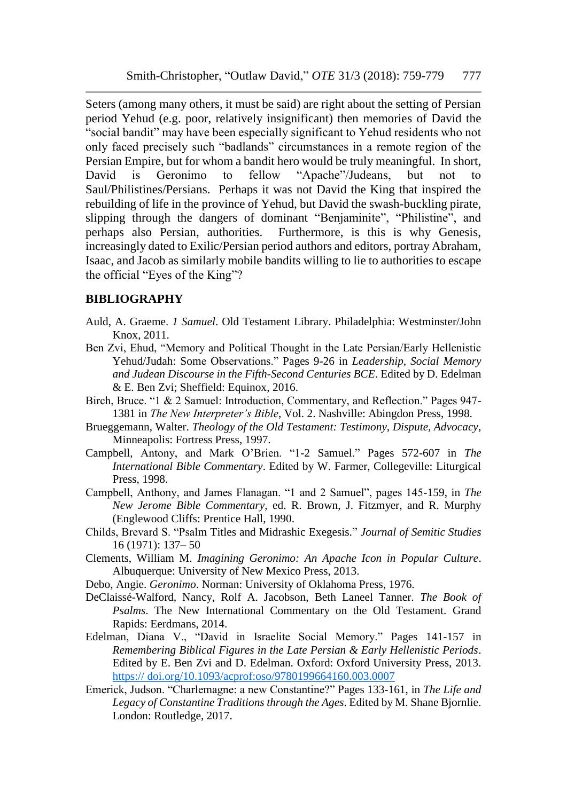Seters (among many others, it must be said) are right about the setting of Persian period Yehud (e.g. poor, relatively insignificant) then memories of David the "social bandit" may have been especially significant to Yehud residents who not only faced precisely such "badlands" circumstances in a remote region of the Persian Empire, but for whom a bandit hero would be truly meaningful. In short, David is Geronimo to fellow "Apache"/Judeans, but not to Saul/Philistines/Persians. Perhaps it was not David the King that inspired the rebuilding of life in the province of Yehud, but David the swash-buckling pirate, slipping through the dangers of dominant "Benjaminite", "Philistine", and perhaps also Persian, authorities. Furthermore, is this is why Genesis, increasingly dated to Exilic/Persian period authors and editors, portray Abraham, Isaac, and Jacob as similarly mobile bandits willing to lie to authorities to escape the official "Eyes of the King"?

#### **BIBLIOGRAPHY**

- Auld, A. Graeme. *1 Samuel*. Old Testament Library. Philadelphia: Westminster/John Knox, 2011.
- Ben Zvi, Ehud, "Memory and Political Thought in the Late Persian/Early Hellenistic Yehud/Judah: Some Observations." Pages 9-26 in *Leadership, Social Memory and Judean Discourse in the Fifth-Second Centuries BCE*. Edited by D. Edelman & E. Ben Zvi; Sheffield: Equinox, 2016.
- Birch, Bruce. "1 & 2 Samuel: Introduction, Commentary, and Reflection." Pages 947- 1381 in *The New Interpreter's Bible*, Vol. 2. Nashville: Abingdon Press, 1998.
- Brueggemann, Walter. *Theology of the Old Testament: Testimony, Dispute, Advocacy*, Minneapolis: Fortress Press, 1997.
- Campbell, Antony, and Mark O'Brien. "1-2 Samuel." Pages 572-607 in *The International Bible Commentary*. Edited by W. Farmer, Collegeville: Liturgical Press, 1998.
- Campbell, Anthony, and James Flanagan. "1 and 2 Samuel", pages 145-159, in *The New Jerome Bible Commentary*, ed. R. Brown, J. Fitzmyer, and R. Murphy (Englewood Cliffs: Prentice Hall, 1990.
- Childs, Brevard S. "Psalm Titles and Midrashic Exegesis." *Journal of Semitic Studies* 16 (1971): 137– 50
- Clements, William M. *Imagining Geronimo: An Apache Icon in Popular Culture*. Albuquerque: University of New Mexico Press, 2013.
- Debo, Angie. *Geronimo*. Norman: University of Oklahoma Press, 1976.
- DeClaissé-Walford, Nancy, Rolf A. Jacobson, Beth Laneel Tanner. *The Book of Psalms*. The New International Commentary on the Old Testament. Grand Rapids: Eerdmans, 2014.
- Edelman, Diana V., "David in Israelite Social Memory." Pages 141-157 in *Remembering Biblical Figures in the Late Persian & Early Hellenistic Periods*. Edited by E. Ben Zvi and D. Edelman. Oxford: Oxford University Press, 2013. https:// doi.org/10.1093/acprof:oso/9780199664160.003.0007
- Emerick, Judson. "Charlemagne: a new Constantine?" Pages 133-161, in *The Life and Legacy of Constantine Traditions through the Ages*. Edited by M. Shane Bjornlie. London: Routledge, 2017.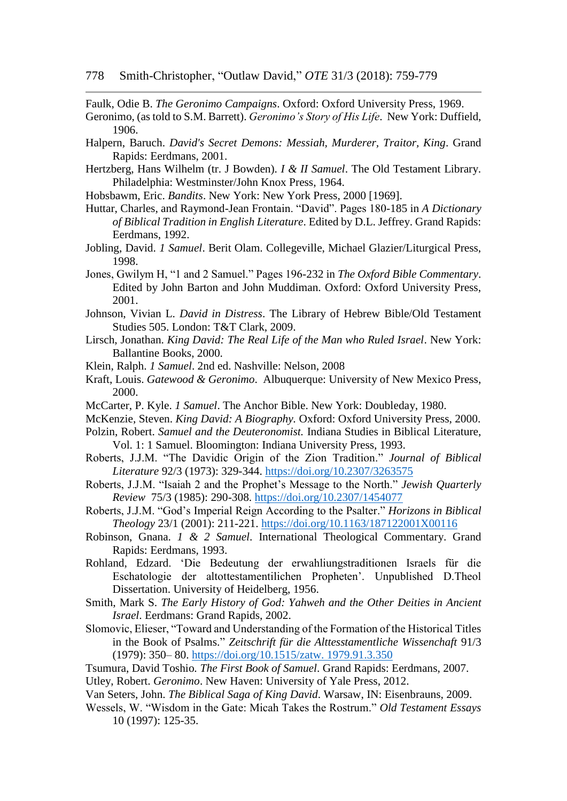Faulk, Odie B. *The Geronimo Campaigns*. Oxford: Oxford University Press, 1969.

- Geronimo, (as told to S.M. Barrett). *Geronimo's Story of His Life*. New York: Duffield, 1906.
- Halpern, Baruch. *David's Secret Demons: Messiah, Murderer, Traitor, King*. Grand Rapids: Eerdmans, 2001.
- Hertzberg, Hans Wilhelm (tr. J Bowden). *I & II Samuel*. The Old Testament Library. Philadelphia: Westminster/John Knox Press, 1964.
- Hobsbawm, Eric. *Bandits*. New York: New York Press, 2000 [1969].
- Huttar, Charles, and Raymond-Jean Frontain. "David". Pages 180-185 in *A Dictionary of Biblical Tradition in English Literature*. Edited by D.L. Jeffrey. Grand Rapids: Eerdmans, 1992.
- Jobling, David. *1 Samuel*. Berit Olam. Collegeville, Michael Glazier/Liturgical Press, 1998.
- Jones, Gwilym H, "1 and 2 Samuel." Pages 196-232 in *The Oxford Bible Commentary*. Edited by John Barton and John Muddiman. Oxford: Oxford University Press, 2001.
- Johnson, Vivian L. *David in Distress*. The Library of Hebrew Bible/Old Testament Studies 505. London: T&T Clark, 2009.
- Lirsch, Jonathan. *King David: The Real Life of the Man who Ruled Israel*. New York: Ballantine Books, 2000.
- Klein, Ralph. *1 Samuel*. 2nd ed. Nashville: Nelson, 2008
- Kraft, Louis. *Gatewood & Geronimo*. Albuquerque: University of New Mexico Press, 2000.
- McCarter, P. Kyle. *1 Samuel*. The Anchor Bible. New York: Doubleday, 1980.

McKenzie, Steven. *King David: A Biography.* Oxford: Oxford University Press, 2000.

- Polzin, Robert. *Samuel and the Deuteronomist.* Indiana Studies in Biblical Literature, Vol. 1: 1 Samuel. Bloomington: Indiana University Press, 1993.
- Roberts, J.J.M. "The Davidic Origin of the Zion Tradition." *Journal of Biblical Literature* 92/3 (1973): 329-344.<https://doi.org/10.2307/3263575>
- Roberts, J.J.M. "Isaiah 2 and the Prophet's Message to the North." *Jewish Quarterly Review* 75/3 (1985): 290-308.<https://doi.org/10.2307/1454077>
- Roberts, J.J.M. "God's Imperial Reign According to the Psalter." *Horizons in Biblical Theology* 23/1 (2001): 211-221.<https://doi.org/10.1163/187122001X00116>
- Robinson, Gnana. *1 & 2 Samuel*. International Theological Commentary. Grand Rapids: Eerdmans, 1993.
- Rohland, Edzard. 'Die Bedeutung der erwahliungstraditionen Israels für die Eschatologie der altottestamentilichen Propheten'. Unpublished D.Theol Dissertation. University of Heidelberg, 1956.
- Smith, Mark S. *The Early History of God: Yahweh and the Other Deities in Ancient Israel*. Eerdmans: Grand Rapids, 2002.
- Slomovic, Elieser, "Toward and Understanding of the Formation of the Historical Titles in the Book of Psalms." *Zeitschrift für die Alttesstamentliche Wissenchaft* 91/3 (1979): 350– 80. [https://doi.org/10.1515/zatw. 1979.91.3.350](https://doi.org/10.1515/zatw.%201979.91.3.350)
- Tsumura, David Toshio*. The First Book of Samuel*. Grand Rapids: Eerdmans, 2007. Utley, Robert. *Geronimo*. New Haven: University of Yale Press, 2012.
- Van Seters, John. *The Biblical Saga of King David*. Warsaw, IN: Eisenbrauns, 2009.
- Wessels, W. "Wisdom in the Gate: Micah Takes the Rostrum." *Old Testament Essays* 10 (1997): 125-35.